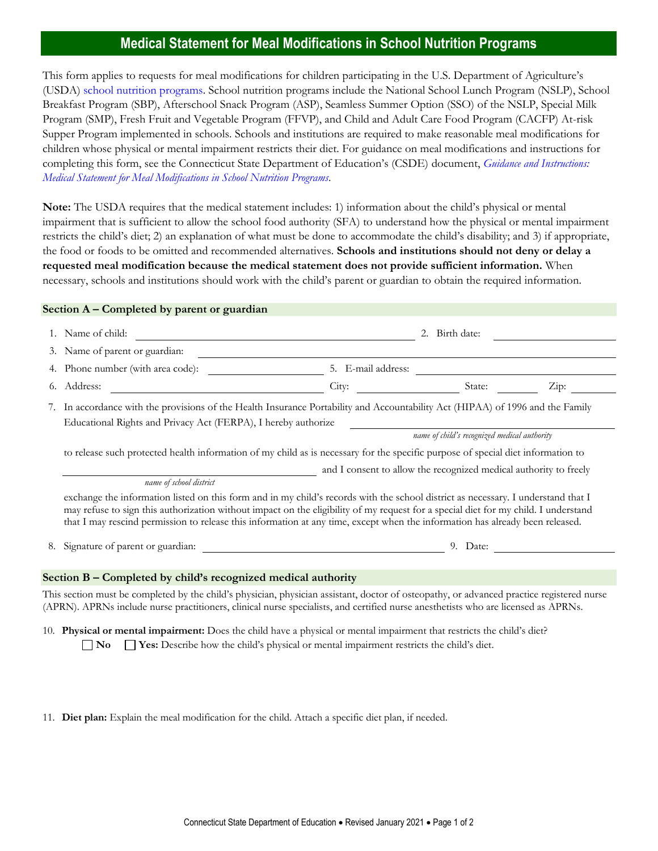# **Medical Statement for Meal Modifications in School Nutrition Programs**

This form applies to requests for meal modifications for children participating in the U.S. Department of Agriculture's (USDA) [school nutrition programs.](https://portal.ct.gov/SDE/Nutrition/School-Nutrition-Programs) School nutrition programs include the National School Lunch Program (NSLP), School Breakfast Program (SBP), Afterschool Snack Program (ASP), Seamless Summer Option (SSO) of the NSLP, Special Milk Program (SMP), Fresh Fruit and Vegetable Program (FFVP), and Child and Adult Care Food Program (CACFP) At-risk Supper Program implemented in schools. Schools and institutions are required to make reasonable meal modifications for children whose physical or mental impairment restricts their diet. For guidance on meal modifications and instructions for completing this form, see the Connecticut State Department of Education's (CSDE) document, *[Guidance and Instructions:](https://portal.ct.gov/-/media/SDE/Nutrition/NSLP/SpecDiet/MedicalSNPinstr.pdf)  [Medical Statement for Meal Modifications in School Nutrition Programs](https://portal.ct.gov/-/media/SDE/Nutrition/NSLP/SpecDiet/MedicalSNPinstr.pdf)*.

**Note:** The USDA requires that the medical statement includes: 1) information about the child's physical or mental impairment that is sufficient to allow the school food authority (SFA) to understand how the physical or mental impairment restricts the child's diet; 2) an explanation of what must be done to accommodate the child's disability; and 3) if appropriate, the food or foods to be omitted and recommended alternatives. **Schools and institutions should not deny or delay a requested meal modification because the medical statement does not provide sufficient information.** When necessary, schools and institutions should work with the child's parent or guardian to obtain the required information.

### **Section A – Completed by parent or guardian**

|                                                                                                                                                                                                                                                                                 | 1. Name of child:<br><u> 1989 - John Stein, mars and de Brazilian (b. 1989)</u>                                                                                                                  |                                                                                                                                                                                                                                                                                                                                                                                                           | 2. Birth date: |          |      |  |  |
|---------------------------------------------------------------------------------------------------------------------------------------------------------------------------------------------------------------------------------------------------------------------------------|--------------------------------------------------------------------------------------------------------------------------------------------------------------------------------------------------|-----------------------------------------------------------------------------------------------------------------------------------------------------------------------------------------------------------------------------------------------------------------------------------------------------------------------------------------------------------------------------------------------------------|----------------|----------|------|--|--|
|                                                                                                                                                                                                                                                                                 | 3. Name of parent or guardian:                                                                                                                                                                   |                                                                                                                                                                                                                                                                                                                                                                                                           |                |          |      |  |  |
|                                                                                                                                                                                                                                                                                 | 4. Phone number (with area code):                                                                                                                                                                | 5. E-mail address:                                                                                                                                                                                                                                                                                                                                                                                        |                |          |      |  |  |
| 6.                                                                                                                                                                                                                                                                              | Address:<br><u> 1980 - Johann Barn, mars eta bat erroman erroman erroman erroman erroman erroman erroman erroman erroman err</u>                                                                 | City:                                                                                                                                                                                                                                                                                                                                                                                                     |                | State:   | Zip: |  |  |
|                                                                                                                                                                                                                                                                                 | 7. In accordance with the provisions of the Health Insurance Portability and Accountability Act (HIPAA) of 1996 and the Family<br>Educational Rights and Privacy Act (FERPA), I hereby authorize |                                                                                                                                                                                                                                                                                                                                                                                                           |                |          |      |  |  |
|                                                                                                                                                                                                                                                                                 | name of child's recognized medical authority                                                                                                                                                     |                                                                                                                                                                                                                                                                                                                                                                                                           |                |          |      |  |  |
|                                                                                                                                                                                                                                                                                 | to release such protected health information of my child as is necessary for the specific purpose of special diet information to                                                                 |                                                                                                                                                                                                                                                                                                                                                                                                           |                |          |      |  |  |
|                                                                                                                                                                                                                                                                                 | and I consent to allow the recognized medical authority to freely                                                                                                                                |                                                                                                                                                                                                                                                                                                                                                                                                           |                |          |      |  |  |
|                                                                                                                                                                                                                                                                                 | name of school district                                                                                                                                                                          |                                                                                                                                                                                                                                                                                                                                                                                                           |                |          |      |  |  |
|                                                                                                                                                                                                                                                                                 |                                                                                                                                                                                                  | exchange the information listed on this form and in my child's records with the school district as necessary. I understand that I<br>may refuse to sign this authorization without impact on the eligibility of my request for a special diet for my child. I understand<br>that I may rescind permission to release this information at any time, except when the information has already been released. |                |          |      |  |  |
|                                                                                                                                                                                                                                                                                 | Signature of parent or guardian:                                                                                                                                                                 |                                                                                                                                                                                                                                                                                                                                                                                                           |                | 9. Date: |      |  |  |
|                                                                                                                                                                                                                                                                                 | Section B – Completed by child's recognized medical authority                                                                                                                                    |                                                                                                                                                                                                                                                                                                                                                                                                           |                |          |      |  |  |
| This section must be completed by the child's physician, physician assistant, doctor of osteopathy, or advanced practice registered nurse<br>(APRN). APRNs include nurse practitioners, clinical nurse specialists, and certified nurse anesthetists who are licensed as APRNs. |                                                                                                                                                                                                  |                                                                                                                                                                                                                                                                                                                                                                                                           |                |          |      |  |  |

10. **Physical or mental impairment:** Does the child have a physical or mental impairment that restricts the child's diet? **No Yes:** Describe how the child's physical or mental impairment restricts the child's diet.

11. **Diet plan:** Explain the meal modification for the child. Attach a specific diet plan, if needed.